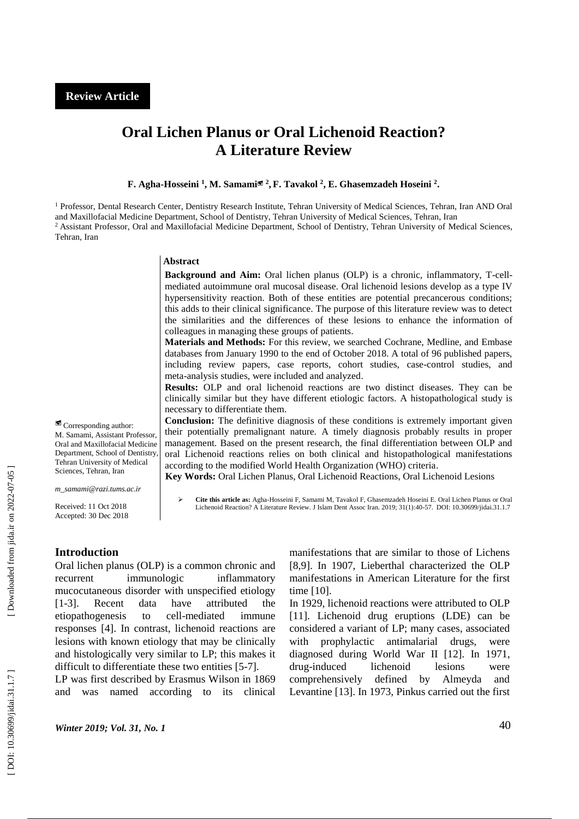# **Oral Lichen Planus or Oral Lichenoid Reaction? A Literature Review**

**F . Agha -Hosseini 1 , M . Samami 2 , F . Tavakol 2 , E. Ghasemzadeh Hoseini 2 .**

<sup>1</sup> Professor, Dental Research Center, Dentistry Research Institute, Tehran University of Medical Sciences, Tehran, Iran AND Oral and Maxillofacial Medicine Department, School of Dentistry, Tehran University of Medical Sciences, Tehran, Iran <sup>2</sup> Assistant Professor, Oral and Maxillofacial Medicine Department, School of Dentistry, Tehran University of Medical Sciences, Tehran, Iran

#### **Abstract**

**Background and Aim:** Oral lichen planus (OLP) is a chronic, inflammatory, T-cellmediated autoimmune oral mucosal disease. Oral lichenoid lesions develop as a type IV hypersensitivity reaction. Both of these entities are potential precancerous conditions; this adds to their clinical significance. The purpose of this literature review was to detect the similarities and the differences of these lesions to enhance the information of colleagues in managing these groups of patients .

**Materials and Methods:** For this review, we searched Cochrane, Medline, and Embase databases from January 1990 to the end of October 2018. A total of 96 published papers, including review papers, case reports, cohort studies, case -control studies, and meta -analysis studies, were included and analyzed .

**Results:** OLP and oral lichenoid reactions are two distinct diseases. They can be clinically similar but they have different etiologic factors. A histopathological study is necessary to differentiate them .

**Conclusion:** The definitive diagnosis of these conditions is extremely important given their potentially premalignant nature. A timely diagnosis probably results in proper management. Based on the present research, the final differentiation between OLP and oral Lichenoid reactions relies on both clinical and histopathological manifestations according to the modified World Health Organization (WHO) criteria .

 **Key Words:** Oral Lichen Planus, Oral Lichenoid Reactions, Oral Lichenoid Lesions

 **Cite this article as:** Agha-Hosseini F, Samami M, Tavakol F, Ghasemzadeh Hoseini E. Oral Lichen Planus or Oral Lichenoid Reaction? A Literature Review. J Islam Dent Assoc Iran. 2019; 31(1):40-57. [DOI: 10.30699/jidai.31.1.7](http://dx.doi.org/10.30699/jidai.31.1.7)

# **Introduction**

Oral lichen planus (OLP) is a common chronic and recurrent immunologic inflammatory mucocutaneous disorder with unspecified etiology  $[1-3]$ . Recent data have attributed the etiopathogenesis to cell-mediated immune responses [4]. In contrast, lichenoid reactions are lesions with known etiology that may be clinically and histologically very similar to LP; this makes it difficult to differentiate these two entities [5-7].

LP was first described by Erasmus Wilson in 1869 and was named according to its clinical

manifestations that are similar to those of Lichens [8,9]. In 1907, Lieberthal characterized the OLP manifestations in American Literature for the first time [10].

In 1929, lichenoid reactions were attributed to OLP [11]. Lichenoid drug eruptions (LDE) can be considered a variant of LP; many cases, associated with prophylactic antimalarial drugs, were diagnosed during World War II [12]. In 1971, drug-induced lichenoid lesions were comprehensively defined by Almeyda and Levantine [13]. In 1973, Pinkus carried out the first

*Winter 2019; Vol. 31, No.* 

 Corresponding author: M. Samami, Assistant Professor Oral and Maxillofacial Medicine Department, School of Dentistry, Tehran University of Medical Sciences, Tehran, Iran

*[m\\_samami@razi.tums.ac.ir](mailto:m_samami@razi.tums.ac.ir)*

Received: 11 Oct 2018 Accepted: 30 Dec 201 8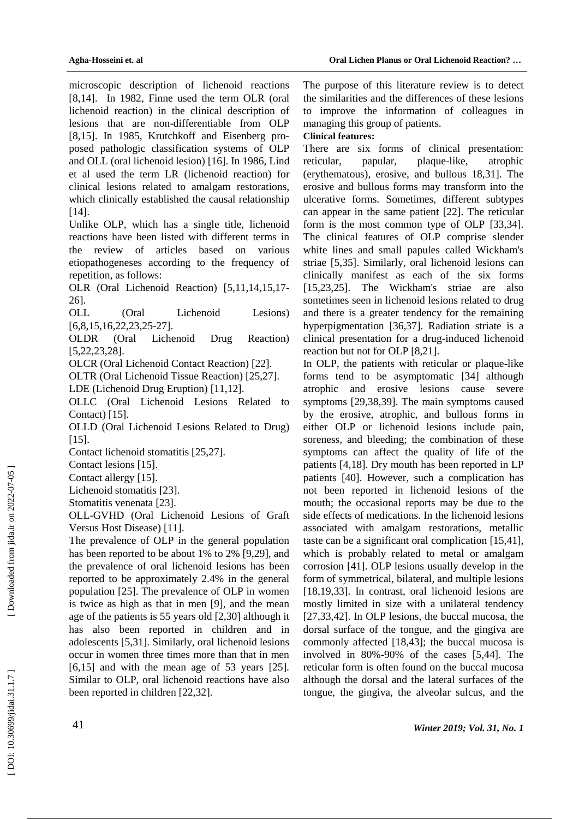microscopic description of lichenoid reactions [8,14]. In 1982, Finne used the term OLR (oral lichenoid reaction) in the clinical description of lesions that are non -differentiable from OLP [8,15]. In 1985, Krutchkoff and Eisenberg proposed pathologic classification systems of OLP and OLL (oral lichenoid lesion) [16]. In 1986, Lind et al used the term LR (lichenoid reaction) for clinical lesions related to amalgam restorations, which clinically established the causal relationship  $[14]$ .

Unlike OLP, which has a single title, lichenoid reactions have been listed with different terms in the review of articles based on various etiopathogeneses according to the frequency of repetition, as follows:

OLR (Oral Lichenoid Reaction) [5,11,14,15,17 - 26] .

OLL (Oral Lichenoid Lesions) [6,8,15,16,22,23,25 -27 ] .

OLDR (Oral Lichenoid Drug Reaction) [5,22,23,28] .

OLCR (Oral Lichenoid Contact Reaction) [22].

OLTR (Oral Lichenoid Tissue Reaction) [25,27].

LDE (Lichenoid Drug Eruption) [11,12].

OLLC (Oral Lichenoid Lesions Related to Contact) [15].

OLLD (Oral Lichenoid Lesions Related to Drug) [15].

Contact lichenoid stomatitis [25,27].

Contact lesions [15].

Contact allergy [15].

Lichenoid stomatitis [23].

Stomatitis venenata [23].

OLL -GVHD (Oral Lichenoid Lesions of Graft Versus Host Disease) [11].

The prevalence of OLP in the general population has been reported to be about 1% to 2% [9,29], and the prevalence of oral lichenoid lesions has been reported to be approximately 2.4% in the general population [25]. The prevalence of OLP in women is twice as high as that in men [9], and the mean age of the patients is 55 years old [2,30] although it has also been reported in children and in adolescents [5,31]. Similarly, oral lichenoid lesions occur in women three times more than that in men [6,15] and with the mean age of 53 years [25]. Similar to OLP, oral lichenoid reactions have also been reported in children [22,32].

The purpose of this literature review is to detect the similarities and the differences of these lesions to improve the information of colleagues in managing this group of patients.

## **Clinical features:**

There are six forms of clinical presentation: reticular, papular, plaque-like, atrophic (erythematous), erosive, and bullous 18,31]. The erosive and bullous forms may transform into the ulcerative forms. Sometimes, different subtypes can appear in the same patient [22]. The reticular form is the most common type of OLP [33,34]. The clinical features of OLP comprise slender white lines and small papules called Wickham's striae [5,35]. Similarly, oral lichenoid lesions can clinically manifest as each of the six forms [15,23,25]. The Wickham's striae are also sometimes seen in lichenoid lesions related to drug and there is a greater tendency for the remaining hyperpigmentation [36,37]. Radiation striate is a clinical presentation for a drug -induced lichenoid reaction but not for OLP [8,21].

In OLP, the patients with reticular or plaque-like forms tend to be asymptomatic [34] although atrophic and erosive lesions cause severe symptoms [29,38,39]. The main symptoms caused by the erosive, atrophic, and bullous forms in either OLP or lichenoid lesions include pain, soreness, and bleeding; the combination of these symptoms can affect the quality of life of the patients [4,18]. Dry mouth has been reported in LP patients [40]. However, such a complication has not been reported in lichenoid lesions of the mouth; the occasional reports may be due to the side effects of medications. In the lichenoid lesions associated with amalgam restorations, metallic taste can be a significant oral complication [15,41], which is probably related to metal or amalgam corrosion [41]. OLP lesions usually develop in the form of symmetrical, bilateral, and multiple lesions [18,19,33]. In contrast, oral lichenoid lesions are mostly limited in size with a unilateral tendency [27,33,42]. In OLP lesions, the buccal mucosa, the dorsal surface of the tongue, and the gingiva are commonly affected [18,43]; the buccal mucosa is involved in 80% -90% of the cases [5,44]. The reticular form is often found on the buccal mucosa although the dorsal and the lateral surfaces of the tongue, the gingiva, the alveolar sulcus, and the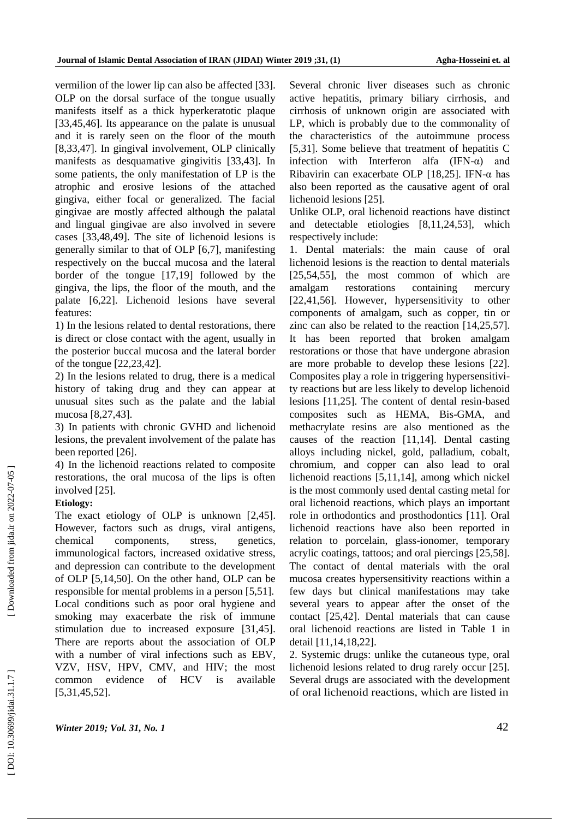vermilion of the lower lip can also be affected [33]. OLP on the dorsal surface of the tongue usually manifests itself as a thick hyperkeratotic plaque [33,45,46]. Its appearance on the palate is unusual and it is rarely seen on the floor of the mouth [8,33,47]. In gingival involvement, OLP clinically manifests as desquamative gingivitis [33,43]. In some patients, the only manifestation of LP is the atrophic and erosive lesions of the attached gingiva, either focal or generalized. The facial gingivae are mostly affected although the palatal and lingual gingivae are also involved in severe cases [33,48,49]. The site of lichenoid lesions is generally similar to that of OLP [6,7], manifesting respectively on the buccal mucosa and the lateral border of the tongue [17,19] followed by the gingiva, the lips, the floor of the mouth, and the palate [6,22]. Lichenoid lesions have several features:

1) In the lesions related to dental restorations, there is direct or close contact with the agent, usually in the posterior buccal mucosa and the lateral border of the tongue [22,23,42].

2) In the lesions related to drug, there is a medical history of taking drug and they can appear at unusual sites such as the palate and the labial mucosa [8,27,43].

3) In patients with chronic GVHD and lichenoid lesions, the prevalent involvement of the palate has been reported [26].

4) In the lichenoid reactions related to composite restorations, the oral mucosa of the lips is often involved [25].

## **Etiology:**

The exact etiology of OLP is unknown [2,45]. However, factors such as drugs, viral antigens, chemical components, stress, genetics, immunological factors, increased oxidative stress, and depression can contribute to the development of OLP [5,14,50]. On the other hand, OLP can be responsible for mental problems in a person [5,51]. Local conditions such as poor oral hygiene and smoking may exacerbate the risk of immune stimulation due to increased exposure [31,45]. There are reports about the association of OLP with a number of viral infections such as EBV, VZV, HSV, HPV, CMV, and HIV; the most common evidence of HCV is available [5,31,45,52].

Several chronic liver diseases such as chronic active hepatitis, primary biliary cirrhosis, and cirrhosis of unknown origin are associated with LP, which is probably due to the commonality of the characteristics of the autoimmune process [5,31]. Some believe that treatment of hepatitis C infection with Interferon alfa  $(IFN-\alpha)$  and Ribavirin can exacerbate OLP [18,25]. IFN -α has also been reported as the causative agent of oral lichenoid lesions [25].

Unlike OLP, oral lichenoid reactions have distinct and detectable etiologies [8,11,24,53], which respectively include:

1. Dental materials: the main cause of oral lichenoid lesions is the reaction to dental materials [25,54,55], the most common of which are amalgam restorations containing mercury [22,41,56]. However, hypersensitivity to other components of amalgam, such as copper, tin or zinc can also be related to the reaction [14,25,57]. It has been reported that broken amalgam restorations or those that have undergone abrasion are more probable to develop these lesions [22]. Composites play a role in triggering hypersensitivity reactions but are less likely to develop lichenoid lesions [11,25]. The content of dental resin -based composites such as HEMA, Bis -GMA, and methacrylate resins are also mentioned as the causes of the reaction [11,14]. Dental casting alloys including nickel, gold, palladium, cobalt, chromium, and copper can also lead to oral lichenoid reactions [5,11,14], among which nickel is the most commonly used dental casting metal for oral lichenoid reactions, which plays an important role in orthodontics and prosthodontics [11]. Oral lichenoid reactions have also been reported in relation to porcelain, glass -ionomer, temporary acrylic coatings, tattoos; and oral piercings [25,58]. The contact of dental materials with the oral mucosa creates hypersensitivity reactions within a few days but clinical manifestations may take several years to appear after the onset of the contact [25,42]. Dental materials that can cause oral lichenoid reactions are listed in Table 1 in detail [11,14,18,22].

2. Systemic drugs: unlike the cutaneous type, oral lichenoid lesions related to drug rarely occur [25]. Several drugs are associated with the development of oral lichenoid reactions, which are listed in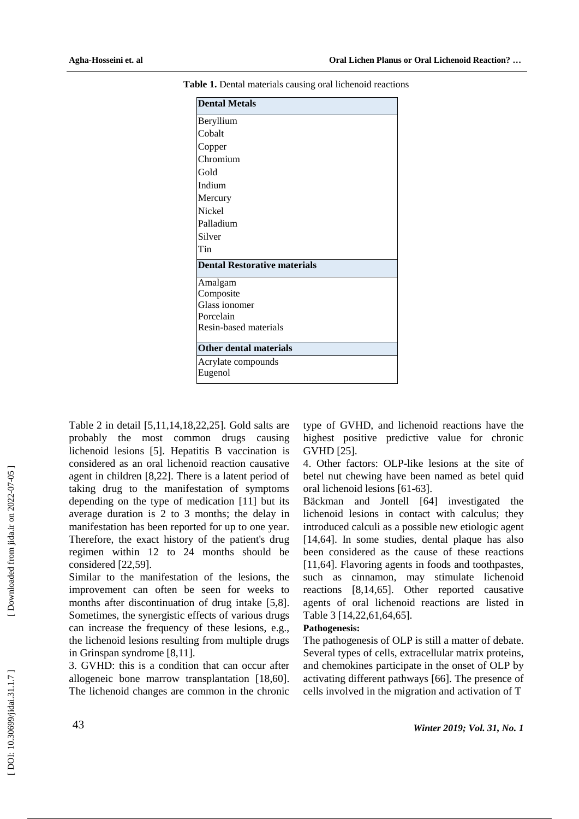| <b>Dental Metals</b>                |
|-------------------------------------|
| Beryllium                           |
| Cobalt                              |
| Copper                              |
| Chromium                            |
| Gold                                |
| Indium                              |
| Mercury                             |
| <b>Nickel</b>                       |
| Palladium                           |
| Silver                              |
| Tin                                 |
| <b>Dental Restorative materials</b> |
| Amalgam                             |
| Composite                           |
| Glass ionomer                       |
| Porcelain                           |
| Resin-based materials               |
| <b>Other dental materials</b>       |
| Acrylate compounds<br>Eugenol       |

**Table 1.** Dental materials causing oral lichenoid reactions

Table 2 in detail [5,11,14,18,22,25]. Gold salts are probably the most common drugs causing lichenoid lesions [5]. Hepatitis B vaccination is considered as an oral lichenoid reaction causative agent in children [8,22]. There is a latent period of taking drug to the manifestation of symptoms depending on the type of medication [11] but its average duration is 2 to 3 months; the delay in manifestation has been reported for up to one year. Therefore, the exact history of the patient's drug regimen within 12 to 24 months should be considered [22,59].

Similar to the manifestation of the lesions, the improvement can often be seen for weeks to months after discontinuation of drug intake [5,8]. Sometimes, the synergistic effects of various drugs can increase the frequency of these lesions, e.g., the lichenoid lesions resulting from multiple drugs in Grinspan syndrome [8,11].

3. GVHD: this is a condition that can occur after allogeneic bone marrow transplantation [18,60]. The lichenoid changes are common in the chronic

type of GVHD, and lichenoid reactions have the highest positive predictive value for chronic GVHD [25].

4. Other factors: OLP -like lesions at the site of betel nut chewing have been named as betel quid oral lichenoid lesions [61 -63].

Bäckman and Jontell [64] investigated the lichenoid lesions in contact with calculus; they introduced calculi as a possible new etiologic agent [14,64]. In some studies, dental plaque has also been considered as the cause of these reactions [11,64]. Flavoring agents in foods and toothpastes, such as cinnamon, may stimulate lichenoid reactions [8,14,65]. Other reported causative agents of oral lichenoid reactions are listed in Table 3 [14,22,61,64,65].

#### **Pathogenesis:**

The pathogenesis of OLP is still a matter of debate. Several types of cells, extracellular matrix proteins, and chemokines participate in the onset of OLP by activating different pathways [66]. The presence of cells involved in the migration and activation of T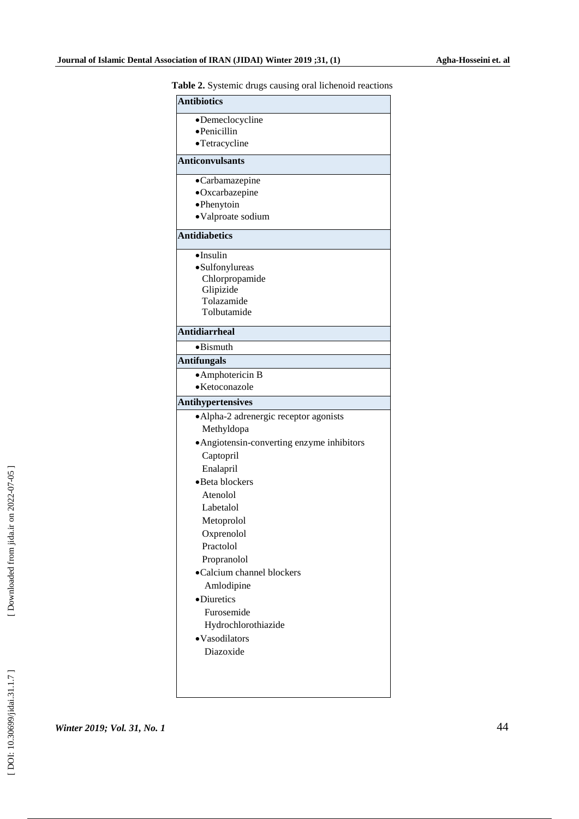| <b>radic 2.</b> Systemic drugs causing oral nenenotu reaction |  |
|---------------------------------------------------------------|--|
| <b>Antibiotics</b>                                            |  |
| •Demeclocycline                                               |  |
| ·Penicillin                                                   |  |
| •Tetracycline                                                 |  |
| <b>Anticonvulsants</b>                                        |  |
| •Carbamazepine                                                |  |
| ·Oxcarbazepine                                                |  |
| • Phenytoin                                                   |  |
| ·Valproate sodium                                             |  |
| <b>Antidiabetics</b>                                          |  |
| ·Insulin                                                      |  |
| ·Sulfonylureas                                                |  |
| Chlorpropamide                                                |  |
| Glipizide<br>Tolazamide                                       |  |
| Tolbutamide                                                   |  |
|                                                               |  |
| <b>Antidiarrheal</b>                                          |  |
| $\bullet$ Bismuth                                             |  |
| <b>Antifungals</b>                                            |  |
| • Amphotericin B<br>· Ketoconazole                            |  |
|                                                               |  |
| <b>Antihypertensives</b>                                      |  |
| • Alpha-2 adrenergic receptor agonists                        |  |
| Methyldopa                                                    |  |
| • Angiotensin-converting enzyme inhibitors                    |  |
| Captopril                                                     |  |
| Enalapril                                                     |  |
| •Beta blockers                                                |  |
| Atenolol                                                      |  |
| Labetalol                                                     |  |
| Metoprolol                                                    |  |
| Oxprenolol                                                    |  |
| Practolol                                                     |  |
| Propranolol                                                   |  |
| •Calcium channel blockers                                     |  |
| Amlodipine                                                    |  |
| ·Diuretics                                                    |  |
| Furosemide                                                    |  |
| Hydrochlorothiazide                                           |  |
| •Vasodilators                                                 |  |
| Diazoxide                                                     |  |
|                                                               |  |
|                                                               |  |

**Table 2.** Systemic drugs causing oral lichenoid reactions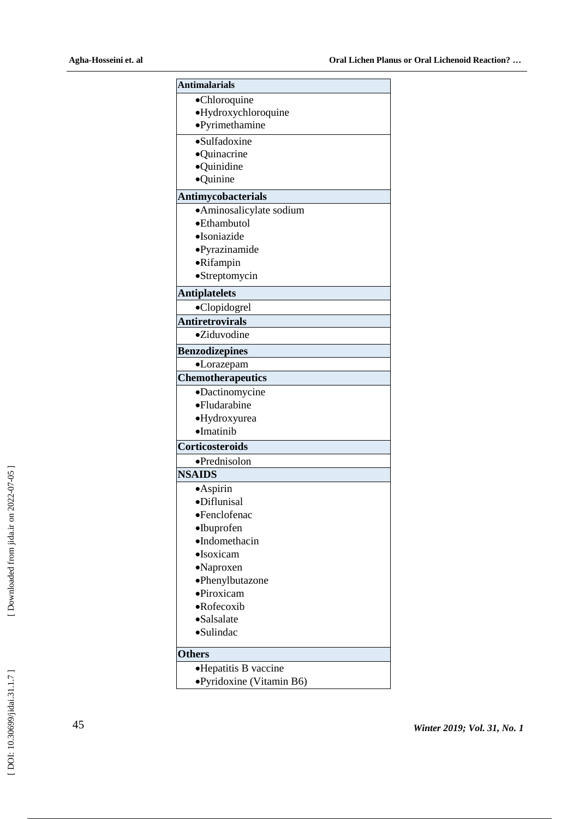| <b>Antimalarials</b>      |  |
|---------------------------|--|
| •Chloroquine              |  |
| ·Hydroxychloroquine       |  |
| ·Pyrimethamine            |  |
| $\bullet$ Sulfadoxine     |  |
| ·Quinacrine               |  |
| ·Quinidine                |  |
| ·Quinine                  |  |
| <b>Antimycobacterials</b> |  |
| ·Aminosalicylate sodium   |  |
| •Ethambutol               |  |
| •Isoniazide               |  |
| ·Pyrazinamide             |  |
| ·Rifampin                 |  |
| ·Streptomycin             |  |
| <b>Antiplatelets</b>      |  |
| •Clopidogrel              |  |
| <b>Antiretrovirals</b>    |  |
| •Ziduvodine               |  |
| <b>Benzodizepines</b>     |  |
| •Lorazepam                |  |
| Chemotherapeutics         |  |
| ·Dactinomycine            |  |
| •Fludarabine              |  |
| ·Hydroxyurea              |  |
| $\bullet$ Imatinib        |  |
| <b>Corticosteroids</b>    |  |
| ·Prednisolon              |  |
| <b>NSAIDS</b>             |  |
| ·Aspirin                  |  |
| ·Diflunisal               |  |
| •Fenclofenac              |  |
| $\bullet$ Ibuprofen       |  |
| ·Indomethacin             |  |
| $\bullet$ Isoxicam        |  |
| •Naproxen                 |  |
| •Phenylbutazone           |  |
| ·Piroxicam                |  |
| •Rofecoxib                |  |
| •Salsalate                |  |
| ·Sulindac                 |  |
| <b>Others</b>             |  |
| •Hepatitis B vaccine      |  |
| ●Pyridoxine (Vitamin B6)  |  |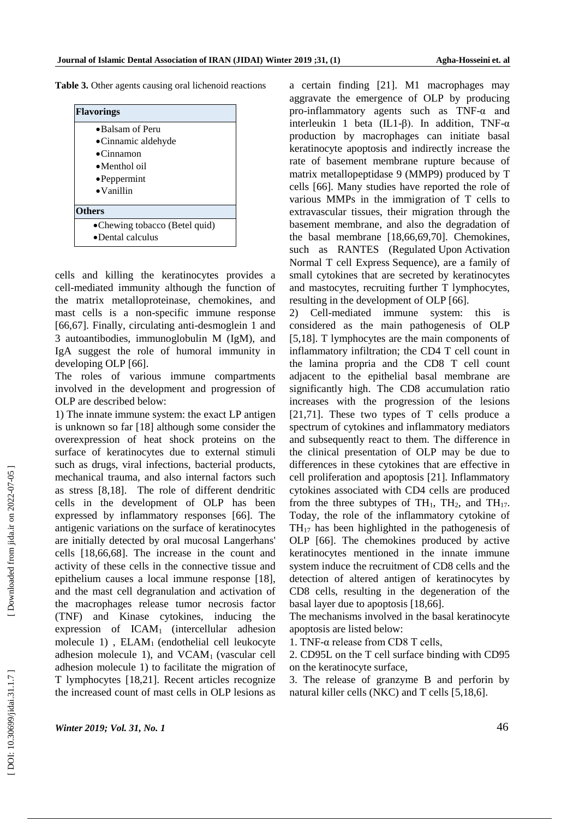**Table 3.** Other agents causing oral lichenoid reactions



cells and killing the keratinocytes provides a cell -mediated immunity although the function of the matrix metalloproteinase, chemokines, and mast cells is a non -specific immune response [66,67]. Finally, circulating anti -desmoglein 1 and 3 autoantibodies, immunoglobulin M (IgM), and IgA suggest the role of humoral immunity in developing OLP [66].

The roles of various immune compartments involved in the development and progression of OLP are described below:

1) The innate immune system: the exact LP antigen is unknown so far [18] although some consider the overexpression of heat shock proteins on the surface of keratinocytes due to external stimuli such as drugs, viral infections, bacterial products, mechanical trauma, and also internal factors such as stress [8,18]. The role of different dendritic cells in the development of OLP has been expressed by inflammatory responses [66]. The antigenic variations on the surface of keratinocytes are initially detected by oral mucosal Langerhans' cells [18,66,68]. The increase in the count and activity of these cells in the connective tissue and epithelium causes a local immune response [18], and the mast cell degranulation and activation of the macrophages release tumor necrosis factor (TNF) and Kinase cytokines, inducing the expression of ICAM1 (intercellular adhesion molecule 1) , ELAM1 (endothelial cell leukocyte adhesion molecule 1), and  $VCAM<sub>1</sub>$  (vascular cell adhesion molecule 1) to facilitate the migration of T lymphocytes [18,21]. Recent articles recognize the increased count of mast cells in OLP lesions as

a certain finding [21]. M1 macrophages may aggravate the emergence of OLP by producing pro -inflammatory agents such as TNF -α and interleukin 1 beta  $(IL1-\beta)$ . In addition, TNF- $\alpha$ production by macrophages can initiate basal keratinocyte apoptosis and indirectly increase the rate of basement membrane rupture because of matrix metallopeptidase 9 (MMP9) produced by T cells [66]. Many studies have reported the role of various MMPs in the immigration of T cells to extravascular tissues, their migration through the basement membrane, and also the degradation of the basal membrane [18,66,69,70]. Chemokines, such as RANTES (Regulated Upon Activation Normal T cell Express Sequence), are a family of small cytokines that are secreted by keratinocytes and mastocytes, recruiting further T lymphocytes, resulting in the development of OLP [66].

2) Cell -mediated immune system: this is considered as the main pathogenesis of OLP [5,18]. T lymphocytes are the main components of inflammatory infiltration; the CD4 T cell count in the lamina propria and the CD8 T cell count adjacent to the epithelial basal membrane are significantly high. The CD8 accumulation ratio increases with the progression of the lesions [21,71]. These two types of T cells produce a spectrum of cytokines and inflammatory mediators and subsequently react to them. The difference in the clinical presentation of OLP may be due to differences in these cytokines that are effective in cell proliferation and apoptosis [21]. Inflammatory cytokines associated with CD4 cells are produced from the three subtypes of  $TH_1$ ,  $TH_2$ , and  $TH_{17}$ . Today, the role of the inflammatory cytokine of  $TH_{17}$  has been highlighted in the pathogenesis of OLP [66]. The chemokines produced by active keratinocytes mentioned in the innate immune system induce the recruitment of CD8 cells and the detection of altered antigen of keratinocytes by CD8 cells, resulting in the degeneration of the basal layer due to apoptosis [18,66].

The mechanisms involved in the basal keratinocyte apoptosis are listed below:

1. TNF -α release from CD8 T cells,

2. CD95L on the T cell surface binding with CD95 on the keratinocyte surface,

3. The release of granzyme B and perforin by natural killer cells (NKC) and T cells [5,18,6].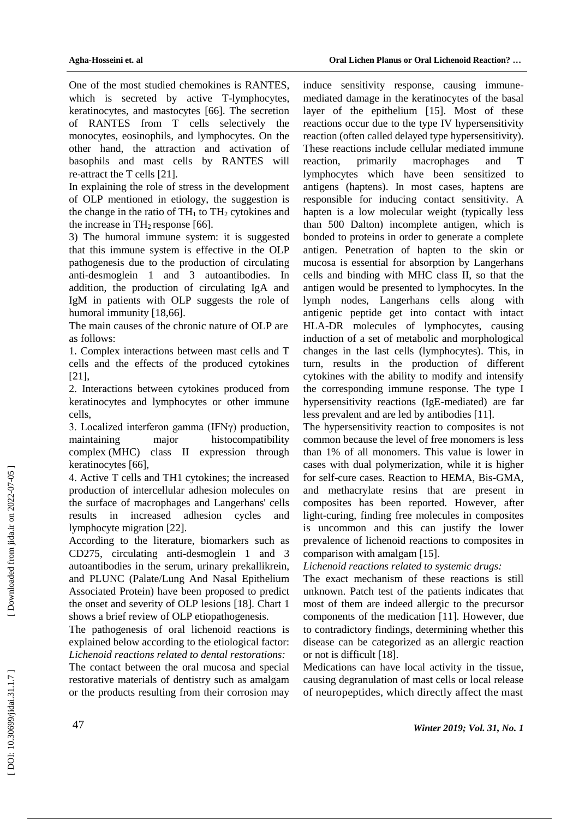One of the most studied chemokines is RANTES, which is secreted by active T -lymphocytes, keratinocytes, and mastocytes [66]. The secretion of RANTES from T cells selectively the monocytes, eosinophils, and lymphocytes. On the other hand, the attraction and activation of basophils and mast cells by RANTES will re-attract the T cells [21].

In explaining the role of stress in the development of OLP mentioned in etiology, the suggestion is the change in the ratio of  $TH_1$  to  $TH_2$  cytokines and the increase in  $TH_2$  response [66].

3) The humoral immune system: it is suggested that this immune system is effective in the OLP pathogenesis due to the production of circulating anti -desmoglein 1 and 3 autoantibodies. In addition, the production of circulating IgA and IgM in patients with OLP suggests the role of humoral immunity [18,66].

The main causes of the chronic nature of OLP are as follows:

1. Complex interactions between mast cells and T cells and the effects of the produced cytokines [21],

2. Interactions between cytokines produced from keratinocytes and lymphocytes or other immune cells,

3. Localized interferon gamma (IFNγ) production, maintaining major histocompatibility complex (MHC) class II expression through keratinocytes [66],

4. Active T cells and TH1 cytokines; the increased production of intercellular adhesion molecules on the surface of macrophages and Langerhans' cells results in increased adhesion cycles and lymphocyte migration [22].

According to the literature, biomarkers such as CD275, circulating anti -desmoglein 1 and 3 autoantibodies in the serum, urinary prekallikrein, and PLUNC (Palate/Lung And Nasal Epithelium Associated Protein) have been proposed to predict the onset and severity of OLP lesions [18]. Chart 1 shows a brief review of OLP etiopathogenesis.

The pathogenesis of oral lichenoid reactions is explained below according to the etiological factor: *Lichenoid reactions related to dental restorations:*

The contact between the oral mucosa and special restorative materials of dentistry such as amalgam or the products resulting from their corrosion may

induce sensitivity response, causing immune mediated damage in the keratinocytes of the basal layer of the epithelium [15]. Most of these reactions occur due to the [type IV hypersensitivity](https://www.google.com/url?sa=t&rct=j&q=&esrc=s&source=web&cd=2&cad=rja&uact=8&ved=0ahUKEwiRwZGEr4XbAhVL2aQKHcz8B88QFggpMAE&url=https%3A%2F%2Fen.wikipedia.org%2Fwiki%2FType_IV_hypersensitivity&usg=AOvVaw2mEKDunN5N3GUIf2B-8AoR)  reaction (often called delayed type hypersensitivity). These reactions include cellular mediated immune reaction, primarily macrophages and T lymphocytes which have been sensitized to antigens (haptens). In most cases, haptens are responsible for inducing contact sensitivity. A hapten is a low molecular weight (typically less than 500 Dalton) incomplete antigen, which is bonded to proteins in order to generate a complete antigen. Penetration of hapten to the skin or mucosa is essential for absorption by Langerhans cells and binding with [MHC class II,](https://www.google.com/url?sa=t&rct=j&q=&esrc=s&source=web&cd=1&cad=rja&uact=8&ved=0ahUKEwiKxquSsIXbAhWpsaQKHW_rD08QFggkMAA&url=https%3A%2F%2Fen.wikipedia.org%2Fwiki%2FMHC_class_II&usg=AOvVaw3z3ENJJwM7USVGHhinwB2z) so that the antigen would be presented to lymphocytes. In the lymph nodes, Langerhans cells along with antigenic peptide get into contact with intact HLA -DR molecules of lymphocytes, causing induction of a set of metabolic and morphological changes in the last cells (lymphocytes). This, in turn, results in the production of different cytokines with the ability to modify and intensify the corresponding immune response. The type I hypersensitivity reactions (IgE -mediated) are far less prevalent and are led by antibodies [11].

The hypersensitivity reaction to composites is not common because the level of free monomers is less than 1% of all monomers. This value is lower in cases with dual polymerization, while it is higher for self-cure cases. Reaction to HEMA, Bis -GMA, and methacrylate resins that are present in composites has been reported. However, after light -curing, finding free molecules in composites is uncommon and this can justify the lower prevalence of lichenoid reactions to composites in comparison with amalgam [15].

## *Lichenoid reactions related to systemic drugs:*

The exact mechanism of these reactions is still unknown. Patch test of the patients indicates that most of them are indeed allergic to the precursor components of the medication [11]. However, due to contradictory findings, determining whether this disease can be categorized as an allergic reaction or not is difficult [18].

Medications can have local activity in the tissue, causing degranulation of mast cells or local release of neuropeptides, which directly affect the mast

Downloaded from jida.ir on 2022-07-05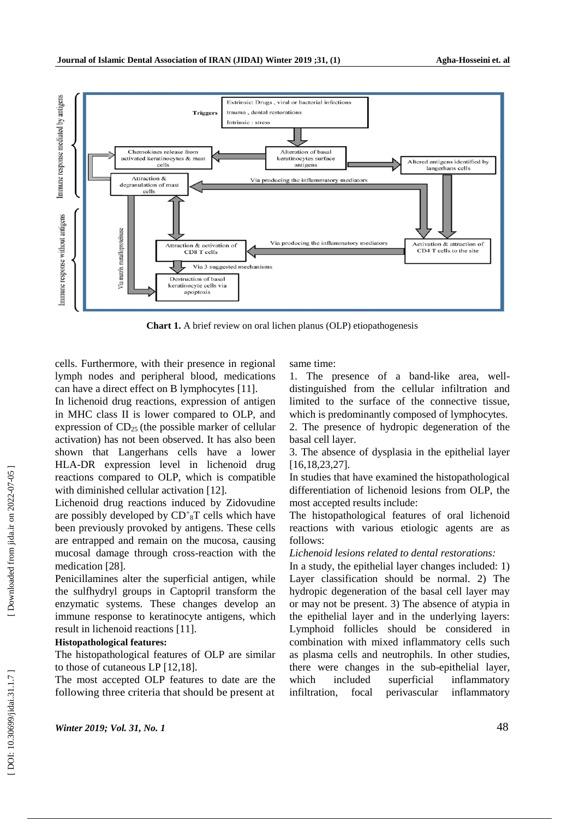

**Chart 1.** A brief review on oral lichen planus (OLP) etiopathogenesis

cells. Furthermore, with their presence in regional lymph nodes and peripheral blood, medications can have a direct effect on B lymphocytes [11].

In lichenoid drug reactions, expression of antigen in MHC class II is lower compared to OLP, and expression of  $CD_{25}$  (the possible marker of cellular activation) has not been observed. It has also been shown that Langerhans cells have a lower HLA -DR expression level in lichenoid drug reactions compared to OLP, which is compatible with diminished cellular activation [12].

Lichenoid drug reactions induced by Zidovudine are possibly developed by  $CD<sup>+</sup><sub>8</sub>T$  cells which have been previously provoked by antigens. These cells are entrapped and remain on the mucosa, causing mucosal damage through cross -reaction with the medication [28].

Penicillamines alter the superficial antigen, while the sulfhydryl groups in Captopril transform the enzymatic systems. These changes develop an immune response to keratinocyte antigens, which result in lichenoid reactions [11].

#### **Histopathological features:**

The histopathological features of OLP are similar to those of cutaneous LP [12,18].

The most accepted OLP features to date are the following three criteria that should be present at

same time:

1. The presence of a band -like area, well distinguished from the cellular infiltration and limited to the surface of the connective tissue, which is predominantly composed of lymphocytes. 2. The presence of hydropic degeneration of the basal cell layer.

3. The absence of dysplasia in the epithelial layer [16,18,23,27].

In studies that have examined the histopathological differentiation of lichenoid lesions from OLP, the most accepted results include:

The histopathological features of oral lichenoid reactions with various etiologic agents are as follows:

*Lichenoid lesions related to dental restorations:*

In a study, the epithelial layer changes included: 1) Layer classification should be normal. 2) The hydropic degeneration of the basal cell layer may or may not be present. 3) The absence of atypia in the epithelial layer and in the underlying layers: Lymphoid follicles should be considered in combination with mixed inflammatory cells such as plasma cells and neutrophils. In other studies, there were changes in the sub -epithelial layer, which included superficial inflammatory infiltration, focal perivascular inflammatory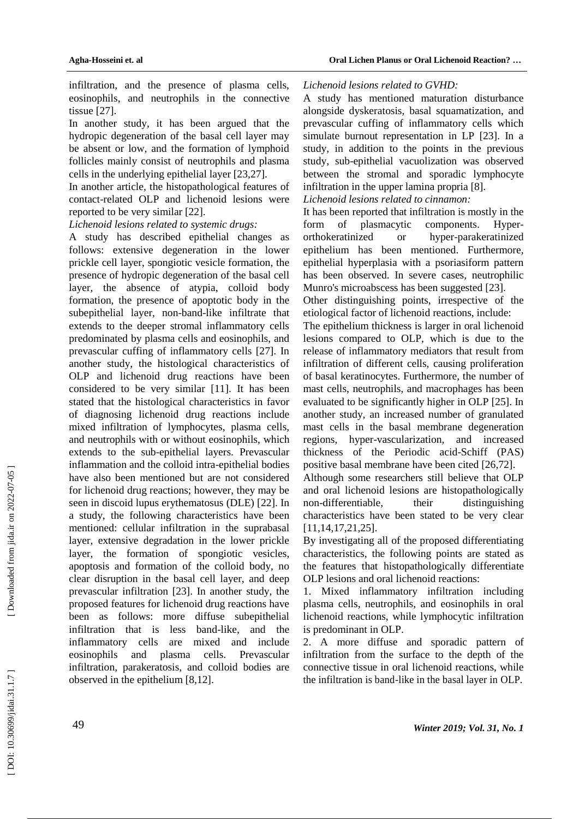infiltration, and the presence of plasma cells, eosinophils, and neutrophils in the connective tissue [27].

In another study, it has been argued that the hydropic degeneration of the basal cell layer may be absent or low, and the formation of lymphoid follicles mainly consist of neutrophils and plasma cells in the underlying epithelial layer [23,27].

In another article, the histopathological features of contact -related OLP and lichenoid lesions were reported to be very similar [22].

## *Lichenoid lesions related to systemic drugs:*

A study has described epithelial changes as follows: extensive degeneration in the lower prickle cell layer, spongiotic vesicle formation, the presence of hydropic degeneration of the basal cell layer, the absence of atypia, colloid body formation, the presence of apoptotic body in the subepithelial layer, no n -band -like infiltrate that extends to the deeper stromal inflammatory cells predominated by plasma cells and eosinophils, and prevascular cuffing of inflammatory cells [27]. In another study, the histological characteristics of OLP and lichenoid drug reactions have been considered to be very similar [11]. It has been stated that the histological characteristics in favor of diagnosing lichenoid drug reactions include mixed infiltration of lymphocytes, plasma cells, and neutrophils with or without eosinophils, which extends to the sub -epithelial layers. Prevascular inflammation and the colloid intra -epithelial bodies have also been mentioned but are not considered for lichenoid drug reactions; however, they may be seen in discoid lupus erythematosus (DLE) [22]. In a study, the following characteristics have been mentioned: cellular infiltration in the suprabasal layer, extensive degradation in the lower prickle layer, the formation of spongiotic vesicles, apoptosis and formation of the colloid body, no clear disruption in the basal cell layer, and deep prevascular infiltration [23]. In another study, the proposed features for lichenoid drug reactions have been as follows: more diffuse subepithelial infiltration that is less band-like, and the inflammatory cells are mixed and include eosinophils and plasma cells. Prevascular infiltration, parakeratosis, and colloid bodies are observed in the epithelium [8,12].

## *Lichenoid lesions related to GVHD:*

A study has mentioned maturation disturbance alongside dyskeratosis, basal squamatization, and prevascular cuffing of inflammatory cells which simulate burnout representation in LP [23]. In a study, in addition to the points in the previous study, sub -epithelial vacuolization was observed between the stromal and sporadic lymphocyte infiltration in the upper lamina propria [8]. *Lichenoid lesions related to cinnamon:*

It has been reported that infiltration is mostly in the form of plasmacytic components. Hyperorthokeratinized or hyper-parakeratinized epithelium has been mentioned. Furthermore, epithelial hyperplasia with a psoriasiform pattern has been observed. In severe cases, neutrophilic Munro's microabscess has been suggested [23].

Other distinguishing points, irrespective of the etiological factor of lichenoid reactions, include:

The epithelium thickness is larger in oral lichenoid lesions compared to OLP, which is due to the release of inflammatory mediators that result from infiltration of different cells, causing proliferation of basal keratinocytes. Furthermore, the number of mast cells, neutrophils, and macrophages has been evaluated to be significantly higher in OLP [25]. In another study, an increased number of granulated mast cells in the basal membrane degeneration regions. hyper-vascularization, and increased thickness of the Periodic acid -Schiff (PAS) positive basal membrane have been cited [26,72].

Although some researchers still believe that OLP and oral lichenoid lesions are histopathologically non-differentiable. their distinguishing characteristics have been stated to be very clear [11,14,17,21,25].

By investigating all of the proposed differentiating characteristics, the following points are stated as the features that histopathologically differentiate OLP lesions and oral lichenoid reactions:

1. Mixed inflammatory infiltration including plasma cells, neutrophils, and eosinophils in oral lichenoid reactions, while lymphocytic infiltration is predominant in OLP.

2. A more diffuse and sporadic pattern of infiltration from the surface to the depth of the connective tissue in oral lichenoid reactions, while the infiltration is band -like in the basal layer in OLP.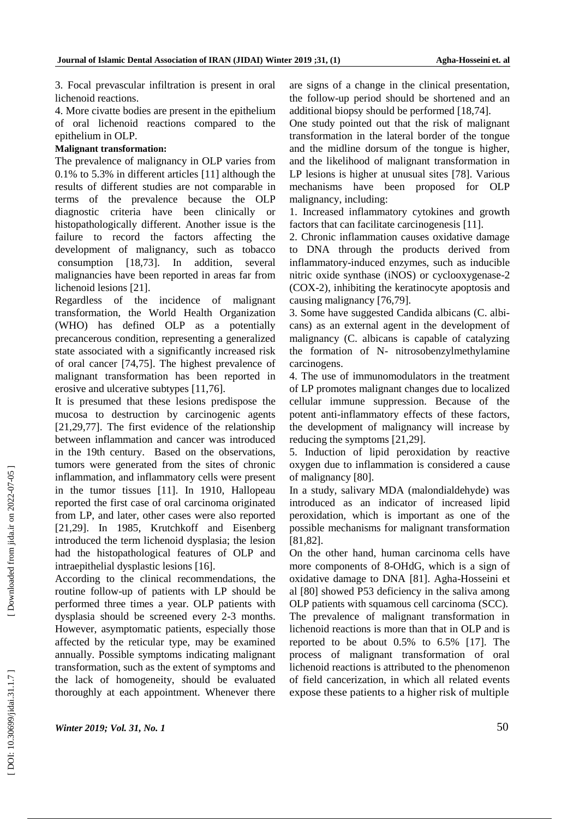3. Focal prevascular infiltration is present in oral lichenoid reactions.

4. More civatte bodies are present in the epithelium of oral lichenoid reactions compared to the epithelium in OLP.

### **Malignant transformation:**

The prevalence of malignancy in OLP varies from 0.1% to 5.3% in different articles [11] although the results of different studies are not comparable in terms of the prevalence because the OLP diagnostic criteria have been clinically or histopathologically different. Another issue is the failure to record the factors affecting the development of malignancy, such as tobacco consumption [18,73]. In addition, several malignancies have been reported in areas far from lichenoid lesions [21].

Regardless of the incidence of malignant transformation, the World Health Organization (WHO) has defined OLP as a potentially precancerous condition, representing a generalized state associated with a significantly increased risk of oral cancer [74,75]. The highest prevalence of malignant transformation has been reported in erosive and ulcerative subtypes [11,76].

It is presumed that these lesions predispose the mucosa to destruction by carcinogenic agents [21,29,77]. The first evidence of the relationship between inflammation and cancer was introduced in the 19th century. Based on the observations, tumors were generated from the sites of chronic inflammation, and inflammatory cells were present in the tumor tissues [11]. In 1910, Hallopeau reported the first case of oral carcinoma originated from LP, and later, other cases were also reported [21,29]. In 1985, Krutchkoff and Eisenberg introduced the term lichenoid dysplasia; the lesion had the histopathological features of OLP and intraepithelial dysplastic lesions [16].

According to the clinical recommendations, the routine follow -up of patients with LP should be performed three times a year. OLP patients with dysplasia should be screened every 2 -3 months. However, asymptomatic patients, especially those affected by the reticular type, may be examined annually. Possible symptoms indicating malignant transformation, such as the extent of symptoms and the lack of homogeneity, should be evaluated thoroughly at each appointment. Whenever there

are signs of a change in the clinical presentation, the follow -up period should be shortened and an additional biopsy should be performed [18,74].

One study pointed out that the risk of malignant transformation in the lateral border of the tongue and the midline dorsum of the tongue is higher, and the likelihood of malignant transformation in LP lesions is higher at unusual sites [78]. Various mechanisms have been proposed for OLP malignancy, including:

1. Increased inflammatory cytokines and growth factors that can facilitate carcinogenesis [11].

2. Chronic inflammation causes oxidative damage to DNA through the products derived from inflammatory -induced enzymes, such as inducible nitric oxide synthase (iNOS) or cyclooxygenase -2 (COX -2), inhibiting the keratinocyte apoptosis and causing malignancy [76,79].

3. Some have suggested Candida albicans (C. albicans) as an external agent in the development of malignancy (C. albicans is capable of catalyzing the formation of N - nitrosobenzylmethylamine carcinogens. 4. The use of immunomodulators in the treatment

of LP promotes malignant changes due to localized cellular immune suppression. Because of the potent anti -inflammatory effects of these factors, the development of malignancy will increase by reducing the symptoms [21,29].

5. Induction of lipid peroxidation by reactive oxygen due to inflammation is considered a cause of malignancy [80].

In a study, salivary MDA (malondialdehyde) was introduced as an indicator of increased lipid peroxidation, which is important as one of the possible mechanisms for malignant transformation [81,82].

On the other hand, human carcinoma cells have more components of 8 -OHdG, which is a sign of oxidative damage to DNA [81]. Agha -Hosseini et al [80] showed P53 deficiency in the saliva among OLP patients with squamous cell carcinoma (SCC). The prevalence of malignant transformation in lichenoid reactions is more than that in OLP and is reported to be about 0.5% to 6.5% [17]. The process of malignant transformation of oral lichenoid reactions is attributed to the phenomenon of field cancerization, in which all related events expose these patients to a higher risk of multiple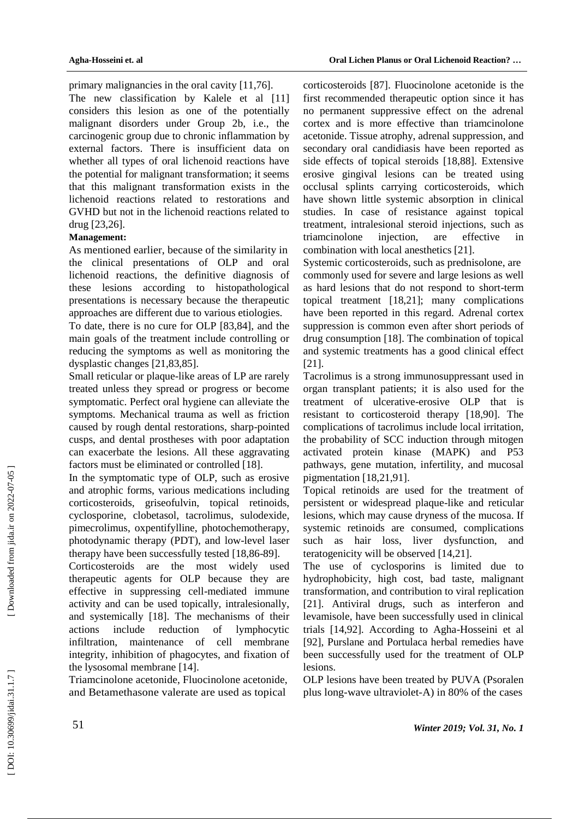primary malignancies in the oral cavity [11,76].

The new classification by Kalele et al [11] considers this lesion as one of the potentially malignant disorders under Group 2b, i.e., the carcinogenic group due to chronic inflammation by external factors. There is insufficient data on whether all types of oral lichenoid reactions have the potential for malignant transformation; it seems that this malignant transformation exists in the lichenoid reactions related to restorations and GVHD but not in the lichenoid reactions related to drug [23,26].

# **Management:**

As mentioned earlier, because of the similarity in the clinical presentations of OLP and oral lichenoid reactions, the definitive diagnosis of these lesions according to histopathological presentations is necessary because the therapeutic approaches are different due to various etiologies.

To date, there is no cure for OLP [83,84], and the main goals of the treatment include controlling or reducing the symptoms as well as monitoring the dysplastic changes [21,83,85].

Small reticular or plaque -like areas of LP are rarely treated unless they spread or progress or become symptomatic. Perfect oral hygiene can alleviate the symptoms. Mechanical trauma as well as friction caused by rough dental restorations, sharp -pointed cusps, and dental prostheses with poor adaptation can exacerbate the lesions. All these aggravating factors must be eliminated or controlled [18].

In the symptomatic type of OLP, such as erosive and atrophic forms, various medications including corticosteroids, griseofulvin, topical retinoids, cyclosporine, clobetasol, tacrolimus, sulodexide, pimecrolimus, oxpentifylline, photochemotherapy, photodynamic therapy (PDT), and low -level laser therapy have been successfully tested [18,86 -89].

Corticosteroids are the most widely used therapeutic agents for OLP because they are effective in suppressing cell -mediated immune activity and can be used topically, intralesionally, and systemically [18]. The mechanisms of their actions include reduction of lymphocytic infiltration, maintenance of cell membrane integrity, inhibition of phagocytes, and fixation of the lysosomal membrane [14].

Triamcinolone acetonide, Fluocinolone acetonide, and Betamethasone valerate are used as topical

corticosteroids [87]. Fluocinolone acetonide is the first recommended therapeutic option since it has no permanent suppressive effect on the adrenal cortex and is more effective than triamcinolone acetonide. Tissue atrophy, adrenal suppression, and secondary oral candidiasis have been reported as side effects of topical steroids [18,88]. Extensive erosive gingival lesions can be treated using occlusal splints carrying corticosteroids, which have shown little systemic absorption in clinical studies. In case of resistance against topical treatment, intralesional steroid injections, such as triamcinolone injection, are effective in combination with local anesthetics [21].

Systemic corticosteroids, such as prednisolone, are commonly used for severe and large lesions as well as hard lesions that do not respond to short -term topical treatment [18,21]; many complications have been reported in this regard. Adrenal cortex suppression is common even after short periods of drug consumption [18]. The combination of topical and systemic treatments has a good clinical effect [21].

Tacrolimus is a strong immunosuppressant used in organ transplant patients; it is also used for the treatment of ulcerative -erosive OLP that is resistant to corticosteroid therapy [18,90]. The complications of tacrolimus include local irritation, the probability of SCC induction through mitogen activated protein kinase (MAPK) and P53 pathways, gene mutation, infertility, and mucosal pigmentation [18,21,91].

Topical retinoids are used for the treatment of persistent or widespread plaque -like and reticular lesions, which may cause dryness of the mucosa. If systemic retinoids are consumed, complications such as hair loss, liver dysfunction, and teratogenicity will be observed [14,21].

The use of cyclosporins is limited due to hydrophobicity, high cost, bad taste, malignant transformation, and contribution to viral replication [21]. Antiviral drugs, such as interferon and levamisole, have been successfully used in clinical trials [14,92]. According to Agha -Hosseini et al [92], Purslane and Portulaca herbal remedies have been successfully used for the treatment of OLP lesions.

OLP lesions have been treated by PUVA (Psoralen plus long -wave ultraviolet -A) in 80% of the cases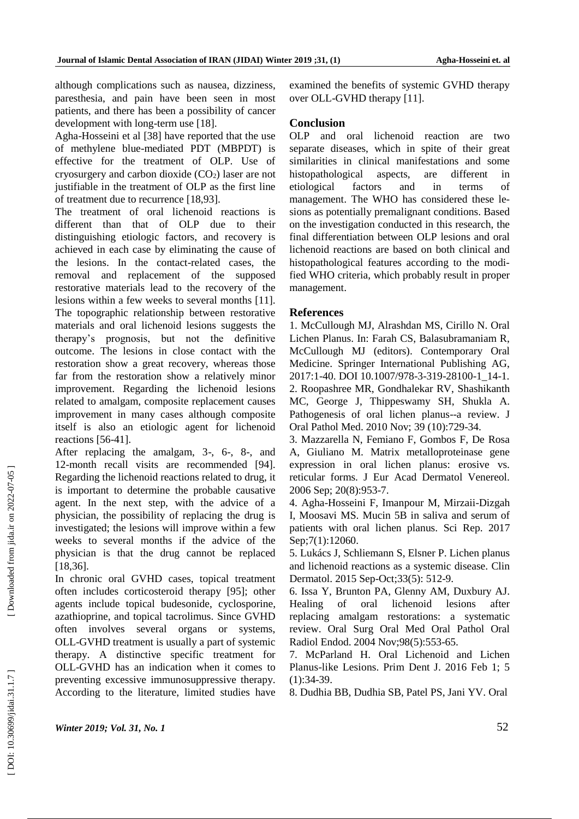although complications such as nausea, dizziness, paresthesia, and pain have been seen in most patients, and there has been a possibility of cancer development with long-term use [18].

Agha -Hosseini et al [38] have reported that the use of methylene blue -mediated PDT (MBPDT) is effective for the treatment of OLP. Use of cryosurgery and carbon dioxide (CO <sup>2</sup>) laser are not justifiable in the treatment of OLP as the first line of treatment due to recurrence [18,93].

The treatment of oral lichenoid reactions is different than that of OLP due to their distinguishing etiologic factors, and recovery is achieved in each case by eliminating the cause of the lesions. In the contact -related cases, the removal and replacement of the supposed restorative materials lead to the recovery of the lesions within a few weeks to several months [11]. The topographic relationship between restorative materials and oral lichenoid lesions suggests the therapy's prognosis, but not the definitive outcome. The lesions in close contact with the restoration show a great recovery, whereas those far from the restoration show a relatively minor improvement. Regarding the lichenoid lesions related to amalgam, composite replacement causes improvement in many cases although composite itself is also an etiologic agent for lichenoid reactions [56 -41].

After replacing the amalgam, 3-, 6-, 8-, and 12 -month recall visits are recommended [94]. Regarding the lichenoid reactions related to drug, it is important to determine the probable causative agent. In the next step, with the advice of a physician, the possibility of replacing the drug is investigated; the lesions will improve within a few weeks to several months if the advice of the physician is that the drug cannot be replaced [18,36].

In chronic oral GVHD cases, topical treatment often includes corticosteroid therapy [95]; other agents include topical budesonide, cyclosporine, azathioprine, and topical tacrolimus. Since GVHD often involves several organs or systems, OLL -GVHD treatment is usually a part of systemic therapy. A distinctive specific treatment for OLL -GVHD has an indication when it comes to preventing excessive immunosuppressive therapy. According to the literature, limited studies have

examined the benefits of systemic GVHD therapy over OLL -GVHD therapy [11].

# **Conclusion**

OLP and oral lichenoid reaction are two separate diseases, which in spite of their great similarities in clinical manifestations and some histopathological aspects, are different in etiological factors and in terms of management. The WHO has considered these lesions as potentially premalignant conditions. Based on the investigation conducted in this research, the final differentiation between OLP lesions and oral lichenoid reactions are based on both clinical and histopathological features according to the modified WHO criteria, which probably result in proper management.

# **References**

1. McCullough MJ, Alrashdan MS, Cirillo N. Oral Lichen Planus. In: Farah CS, Balasubramaniam R, McCullough MJ (editors). Contemporary Oral Medicine. Springer International Publishing AG, 2017:1-40. DOI 10.1007/978-3-319-28100-1\_14-1. 2. Roopashree MR, Gondhalekar RV, Shashikanth MC, George J, Thippeswamy SH, Shukla A. Pathogenesis of oral lichen planus--a review. J Oral Pathol Med. 2010 Nov; 39 (10):729 -34.

3. Mazzarella N, Femiano F, Gombos F, De Rosa A, Giuliano M. Matrix metalloproteinase gene expression in oral lichen planus: erosive vs. reticular forms. J Eur Acad Dermatol Venereol. 2006 Sep; 20(8):953 -7.

4. Agha -Hosseini F, Imanpour M, Mirzaii -Dizgah I, Moosavi MS. Mucin 5B in saliva and serum of patients with oral lichen planus. Sci Rep. 2017 Sep;7(1):12060.

5. Lukács J, Schliemann S, Elsner P. Lichen planus and lichenoid reactions as a systemic disease. Clin Dermatol. 2015 Sep -Oct;33(5): 512 -9.

6. Issa Y, Brunton PA, Glenny AM, Duxbury AJ. Healing of oral lichenoid lesions after replacing amalgam restorations: a systematic review. Oral Surg Oral Med Oral Pathol Oral Radiol Endod. 2004 Nov;98(5):553 -65.

7. McParland H. Oral Lichenoid and Lichen Planus -like Lesions. Prim Dent J. 2016 Feb 1; 5  $(1):34-39.$ 

8. Dudhia BB, Dudhia SB, Patel PS, Jani YV. Oral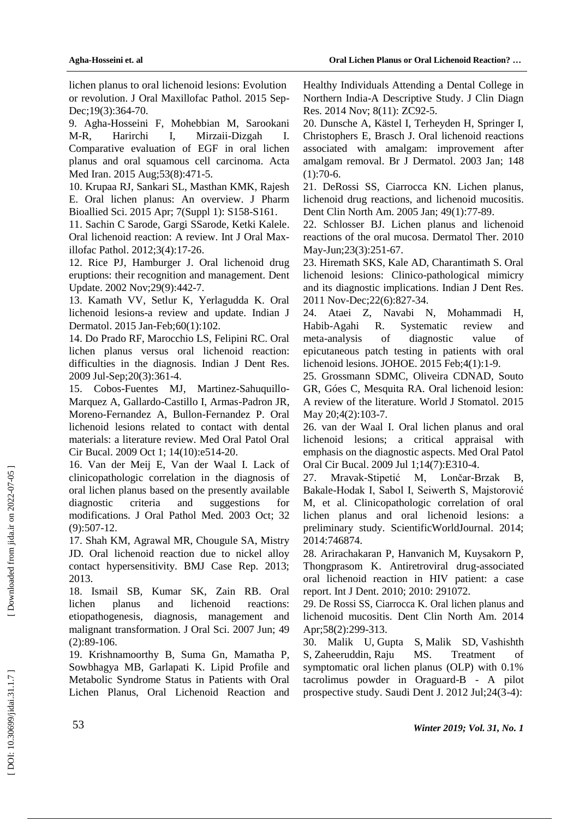lichen planus to oral lichenoid lesions: Evolution or revolution. J Oral Maxillofac Pathol. 2015 Sep - Dec;19(3):364-70.

9. Agha -Hosseini F, Mohebbian M, Sarookani M-R. Harirchi I. Mirzaii-Dizgah I. Comparative evaluation of EGF in oral lichen planus and oral squamous cell carcinoma. [Acta](https://www.ncbi.nlm.nih.gov/pubmed/26545991)  [Med Iran.](https://www.ncbi.nlm.nih.gov/pubmed/26545991) 2015 Aug;53(8):471-5.

10. Krupaa RJ, Sankari SL, Masthan KMK, Rajesh E. Oral lichen planus: An overview. J Pharm Bioallied Sci. 2015 Apr; 7(Suppl 1): S158 -S161.

11. Sachin C Sarode, Gargi SSarode, Ketki Kalele. Oral lichenoid reaction: A review. Int J Oral Maxillofac Pathol. 2012;3(4):17-26.

12. Rice PJ, Hamburger J. Oral lichenoid drug eruptions: their recognition and management. Dent Update. 2002 Nov;29(9):442 -7.

13. Kamath VV, Setlur K, Yerlagudda K. Oral lichenoid lesions -a review and update. Indian J Dermatol. 2015 Jan -Feb;60(1):102.

14. Do Prado RF, Marocchio LS, Felipini RC. Oral lichen planus versus oral lichenoid reaction: difficulties in the diagnosis. Indian J Dent Res. 2009 Jul -Sep;20(3):361 - 4 .

15. Cobos -Fuentes MJ, Martinez -Sahuquillo - Marquez A, Gallardo -Castillo I, Armas -Padron JR, Moreno -Fernandez A, Bullon -Fernandez P. Oral lichenoid lesions related to contact with dental materials: a literature review. Med Oral Patol Oral Cir Bucal. 2009 Oct 1; 14(10):e514 -20.

16. Van der Meij E, Van der Waal I. Lack of clinicopathologic correlation in the diagnosis of oral lichen planus based on the presently available diagnostic criteria and suggestions for modifications. J Oral Pathol Med. 2003 Oct ; 32  $(9): 507 - 12.$ 

17. Shah KM, Agrawal MR, Chougule SA, Mistry JD. Oral lichenoid reaction due to nickel alloy contact hypersensitivity. BMJ Case Rep. 2013; 2013.

18. Ismail SB, Kumar SK, Zain RB. Oral lichen planus and lichenoid reactions: etiopathogenesis, diagnosis, management and malignant transformation. J Oral Sci. 2007 Jun; 49  $(2):89-106.$ 

19. Krishnamoorthy B, Suma G n, Mamatha P, Sowbhagya M B, Garlapati K. Lipid Profile and Metabolic Syndrome Status in Patients with Oral Lichen Planus, Oral Lichenoid Reaction and

Healthy Individuals Attending a Dental College in Northern India -A Descriptive Study. J Clin Diagn Res. 2014 Nov; 8(11): ZC92-5.

20. Dunsche A, Kästel I, Terheyden H, Springer I, Christophers E, Brasch J. Oral lichenoid reactions associated with amalgam: improvement after amalgam removal. Br J Dermatol. 2003 Jan; 148  $(1):70-6.$ 

21. DeRossi SS, Ciarrocca KN. Lichen planus, lichenoid drug reactions, and lichenoid mucositis. Dent Clin North Am. 2005 Jan; 49(1):77 -89.

22. Schlosser BJ. Lichen planus and lichenoid reactions of the oral mucosa. Dermatol Ther. 2010 May-Jun;23(3):251-67.

23. Hiremath SKS, Kale AD, Charantimath S. Oral lichenoid lesions: Clinic o -pathological mimicry and its diagnostic implications. Indian J Dent Res. 2011 Nov -Dec;22(6):827 -34.

24. Ataei Z, Navabi N, Mohammadi H, Habib-Agahi R. Systematic review and meta-analysis of diagnostic value of epicutaneous patch testing in patients with oral lichenoid lesions. JOHOE. 2015 Feb;4(1):1 -9.

25. Grossmann SDMC, Oliveira CDNAD, Souto GR, Góes C, Mesquita RA. Oral lichenoid lesion: A review of the literature. World J Stomatol. 2015 May 20;4(2):103-7.

26. van der Waal I. Oral lichen planus and oral lichenoid lesions; a critical appraisal with emphasis on the diagnostic aspects. Med Oral Patol Oral Cir Bucal. 2009 Jul 1;14(7):E310 -4.

27. Mravak -Stipetić M, Lončar Lončar-Brzak B, Bakale -Hodak I, Sabol I, Seiwerth S, Majstorović M, et al. Clinicopathologic correlation of oral lichen planus and oral lichenoid lesions: a preliminary study. ScientificWorldJournal. 2014; 2014:746874.

28. Arirachakaran P, Hanvanich M, Kuysakorn P, Thongprasom K. Antiretroviral drug -associated oral lichenoid reaction in HIV patient: a case report. Int J Dent. 2010; 2010: 291072.

29. De Rossi SS, Ciarrocca K. Oral lichen planus and lichenoid mucositis. Dent Clin North Am. 2014 Apr;58(2):299-313.

30. Malik U, Gupta S, Malik SD, Vashishth S, Zaheeruddin, Raju MS. Treatment of symptomatic oral lichen planus (OLP) with 0.1% tacrolimus powder in Oraguard -B - A pilot prospective study. Saudi Dent J. 2012 Jul;24(3 -4):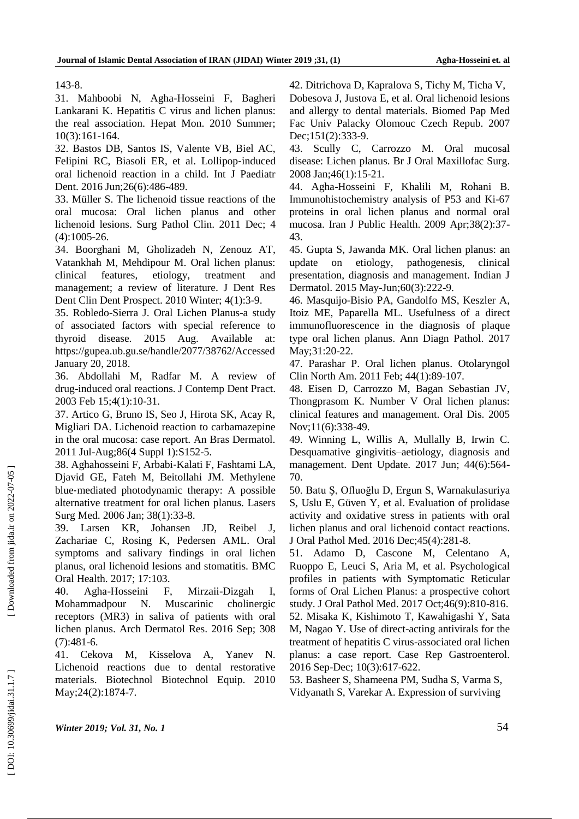143 -8.

31. Mahboobi N, Agha -Hosseini F, Bagheri Lankarani K. Hepatitis C virus and lichen planus: the real association. Hepat Mon. 2010 Summer; 10(3):161 -164.

32. Bastos DB, Santos IS, Valente VB, Biel AC, Felipini RC, Biasoli ER, et al. Lollipop-induced oral lichenoid reaction in a child. Int J Paediatr Dent. 2016 Jun;26(6):486 -489.

33. Müller S. The lichenoid tissue reactions of the oral mucosa: Oral lichen planus and other lichenoid lesions. Surg Pathol Clin. 2011 Dec; 4 (4):1005 -26.

34. Boorghani M, Gholizadeh N, Zenouz AT, Vatankhah M, Mehdipour M. Oral lichen planus: clinical features, etiology, treatment and management; a review of literature. J Dent Res Dent Clin Dent Prospect. 2010 Winter; 4(1):3-9.

35. Robledo -Sierra J. Oral Lichen Planus -a study of associated factors with special reference to thyroid disease. 2015 Aug. Available at: https://gupea.ub.gu.se/handle/2077/38762/Accessed January 20, 2018.

36. Abdollahi M, Radfar M. A review of drug -induced oral reactions. J Contemp Dent Pract. 2003 Feb 15;4(1):10 -31.

37. Artico G, Bruno IS, Seo J, Hirota SK, Acay R, Migliari DA. Lichenoid reaction to carbamazepine in the oral mucosa: case report. An Bras Dermatol. 2011 Jul -Aug;86(4 Suppl 1):S152 -5.

38. Aghahosseini F, Arbabi ‐Kalati F, Fashtami LA, Djavid GE, Fateh M, Beitollahi JM. Methylene blue ‐mediated photodynamic therapy: A possible alternative treatment for oral lichen planus. Lasers Surg Med. 2006 Jan; 38(1):33 -8.

39. Larsen KR, Johansen JD, Reibel J, Zachariae C, Rosing K, Pedersen AML. Oral symptoms and salivary findings in oral lichen planus, oral lichenoid lesions and stomatitis. BMC Oral Health. 2017; 17:103 .

40. Agha -Hosseini F, Mirzaii Mirzaii-Dizgah I, Mohammadpour N. Muscarinic cholinergic receptors (MR3) in saliva of patients with oral lichen planus. Arch Dermatol Res. 2016 Sep; 308  $(7):481-6.$ 

41. Cekova M, Kisselova A, Yanev N. Lichenoid reactions due to dental restorative materials. Biotechnol Biotechnol Equip. 2010 May; 24(2): 1874-7.

42. Ditrichova D, Kapralova S, Tichy M, Ticha V,

Dobesova J, Justova E, et al. Oral lichenoid lesions and allergy to dental materials. Biomed Pap Med Fac Univ Palacky Olomouc Czech Repub. 2007 Dec;151(2):333-9.

43. Scully C, Carrozzo M. Oral mucosal disease: Lichen planus. Br J Oral Maxillofac Surg. 2008 Jan;46(1):15 -21.

44. Agha -Hosseini F, Khalili M, Rohani B. Immunohistochemistry analysis of P53 and Ki -67 proteins in oral lichen planus and normal oral mucosa. Iran J Public Health. 2009 Apr;38(2):37 - 43.

45. Gupta S, Jawanda MK. Oral lichen planus: an update on etiology, pathogenesis, clinical presentation, diagnosis and management. Indian J Dermatol. 2015 May-Jun;60(3):222-9.

46. Masquijo -Bisio PA, Gandolfo MS, Keszler A, Itoiz ME, Paparella ML. Usefulness of a direct immunofluorescence in the diagnosis of plaque type oral lichen planus. Ann Diagn Pathol. 2017 May;31:20-22.

47. Parashar P. Oral lichen planus. Otolaryngol Clin North Am. 2011 Feb; 44(1):89 -107.

48. Eisen D, Carrozzo M, Bagan Sebastian JV, Thongprasom K. Number V Oral lichen planus: clinical features and management. Oral Dis. 2005 Nov;11(6):338 -49.

49. Winning L, Willis A, Mullally B, Irwin C. Desquamative gingivitis –aetiology, diagnosis and management. Dent Update. 2017 Jun; 44(6):564 - 70.

50. Batu Ş, Ofluoğlu D, Ergun S, Warnakulasuriya S, Uslu E, Güven Y, et al. Evaluation of prolidase activity and oxidative stress in patients with oral lichen planus and oral lichenoid contact reactions. J Oral Pathol Med. 2016 Dec;45(4):281 -8.

51. Adamo D, Cascone M, Celentano A, Ruoppo E, Leuci S, Aria M, et al. Psychological profiles in patients with Symptomatic Reticular forms of Oral Lichen Planus: a prospective cohort study. J Oral Pathol Med. 2017 Oct;46(9):810 -816. 52. Misaka K, Kishimoto T, Kawahigashi Y, Sata M, Nagao Y. Use of direct -acting antivirals for the treatment of hepatitis C virus -associated oral lichen planus: a case report. Case Rep Gastroenterol. 2016 Sep-Dec; 10(3):617-622.

53. Basheer S, Shameena PM, Sudha S, Varma S, Vidyanath S, Varekar A. Expression of surviving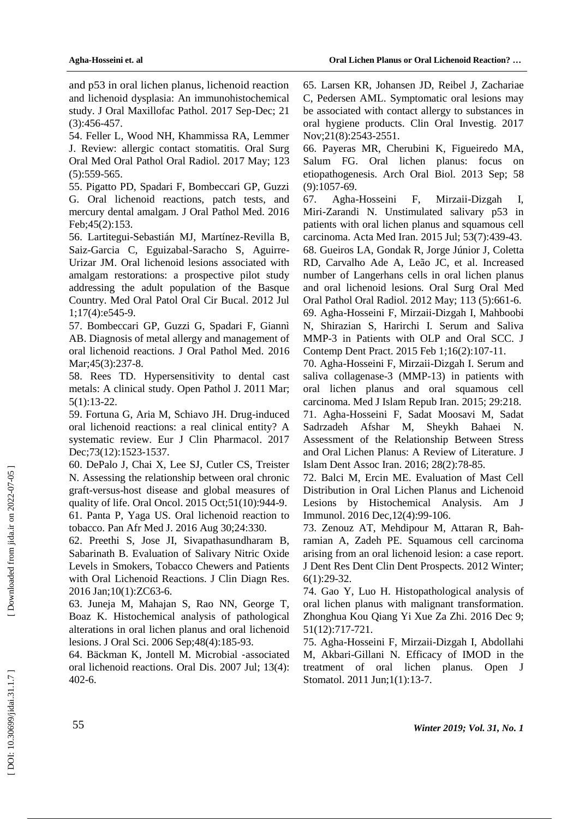and p53 in oral lichen planus, lichenoid reaction and lichenoid dysplasia: An immunohistochemical study. J Oral Maxillofac Pathol. 2017 Sep -Dec; 21  $(3):456-457.$ 

54. Feller L, Wood NH, Khammissa RA, Lemmer J. Review: allergic contact stomatitis. Oral Surg Oral Med Oral Pathol Oral Radiol. 2017 May; 123  $(5):$ 559-565.

55. Pigatto PD, Spadari F, Bombeccari GP, Guzzi G. Oral lichenoid reactions, patch tests, and mercury dental amalgam. J Oral Pathol Med. 2016 Feb;45(2):153.

56. Lartitegui -Sebastián MJ, Martínez -Revilla B, Saiz -Garcia C, Eguizabal -Saracho S, Aguirre - Urizar JM. Oral lichenoid lesions associated with amalgam restorations: a prospective pilot study addressing the adult population of the Basque Country. Med Oral Patol Oral Cir Bucal. 2012 Jul 1;17(4):e545 -9.

57. Bombeccari GP, Guzzi G, Spadari F, Giannì AB. Diagnosis of metal allergy and management of oral lichenoid reactions. J Oral Pathol Med. 2016 Mar; 45(3): 237-8.

58. Rees TD. Hypersensitivity to dental cast metals: A clinical study. Open Pathol J. 2011 Mar ; 5(1):13 -22 .

59. Fortuna G, Aria M, Schiavo JH. Drug -induced oral lichenoid reactions: a real clinical entity? A systematic review. Eur J Clin Pharmacol. 2017 Dec;73(12):1523 -1537.

60. DePalo J, Chai X, Lee SJ, Cutler CS, Treister N. Assessing the relationship between oral chronic graft -versus -host disease and global measures of quality of life. Oral Oncol. 2015 Oct;51(10):944 -9. 61. Panta P, Yaga US. Oral lichenoid reaction to

tobacco. Pan Afr Med J. 2016 Aug 30;24:330.

62. Preethi S, Jose JI, Sivapathasundharam B, Sabarinath B. Evaluation of Salivary Nitric Oxide Levels in Smokers, Tobacco Chewers and Patients with Oral Lichenoid Reactions. J Clin Diagn Res. 2016 Jan;10(1):ZC63-6.

63. Juneja M, Mahajan S, Rao NN, George T, Boaz K. Histochemical analysis of pathological alterations in oral lichen planus and oral lichenoid lesions. J Oral Sci. 2006 Sep;48(4):185 -93.

64. Bäckman K, Jontell M. Microbial ‐associated oral lichenoid reactions. Oral Dis. 2007 Jul ; 13(4): 402 -6.

65. Larsen KR, Johansen J D, Reibel J, Zachariae C, Pedersen AML. Symptomatic oral lesions may be associated with contact allergy to substances in oral hygiene products. Clin Oral Investig. 2017 Nov;21(8):2543 -2551.

66. Payeras MR, Cherubini K, Figueiredo MA, Salum FG. Oral lichen planus: focus on etiopathogenesis. Arch Oral Biol. 2013 Sep; 58 (9):1057 -69.

67. Agha -Hosseini F, Mirzaii Mirzaii-Dizgah I, Miri -Zarandi N. Unstimulated salivary p53 in patients with oral lichen planus and squamous cell carcinoma. Acta Med Iran. 2015 Jul; 53(7):439 -43. 68. [Gueiros LA,](https://www.ncbi.nlm.nih.gov/pubmed/?term=Gueiros%20LA%5BAuthor%5D&cauthor=true&cauthor_uid=22668625) [Gondak R,](https://www.ncbi.nlm.nih.gov/pubmed/?term=Gondak%20R%5BAuthor%5D&cauthor=true&cauthor_uid=22668625) [Jorge Júnior J,](https://www.ncbi.nlm.nih.gov/pubmed/?term=Jorge%20J%C3%BAnior%20J%5BAuthor%5D&cauthor=true&cauthor_uid=22668625) [Coletta](https://www.ncbi.nlm.nih.gov/pubmed/?term=Coletta%20RD%5BAuthor%5D&cauthor=true&cauthor_uid=22668625)  [RD,](https://www.ncbi.nlm.nih.gov/pubmed/?term=Coletta%20RD%5BAuthor%5D&cauthor=true&cauthor_uid=22668625) [Carvalho Ade A,](https://www.ncbi.nlm.nih.gov/pubmed/?term=Carvalho%20Ade%20A%5BAuthor%5D&cauthor=true&cauthor_uid=22668625) [Leão JC,](https://www.ncbi.nlm.nih.gov/pubmed/?term=Le%C3%A3o%20JC%5BAuthor%5D&cauthor=true&cauthor_uid=22668625) et al. Increased number of Langerhans cells in oral lichen planus and oral lichenoid lesions. Oral Surg Oral Med Oral Pathol Oral Radiol. 2012 May; 113 (5):661 -6. 69. Agha -Hosseini F, Mirzaii -Dizgah I, Mahboobi N, Shirazian S, Harirchi I. Serum and Saliva MMP -3 in Patients with OLP and Oral SCC. J Contemp Dent Pract. 2015 Feb 1;16(2):107 -11 .

70. Agha -Hosseini F, Mirzaii -Dizgah I. Serum and saliva collagenase-3 (MMP-13) in patients with oral lichen planus and oral squamous cell carcinoma. Med J Islam Repub Iran. 2015; 29:218. 71. Agha -Hosseini F, Sadat Moosavi M, Sadat Sadrzadeh Afshar M, Sheykh Bahaei N. Assessment of the Relationship Between Stress and Oral Lichen Planus: A Review of Literature. J Islam Den t Assoc Iran. 2016; 28(2):78 -85.

72. Balci M, Ercin ME. Evaluation of Mast Cell Distribution in Oral Lichen Planus and Lichenoid Lesions by Histochemical Analysis. Am J Immunol. 2016 Dec,12(4):99 -106.

73. Zenouz AT, Mehdipour M, Attaran R, Bahramian A, Zadeh PE. Squamous cell carcinoma arising from an oral lichenoid lesion: a case report. J Dent Res Dent Clin Dent Prospects. 2012 Winter; 6(1):29 -32.

74. Gao Y, Luo H. Histopathological analysis of oral lichen planus with malignant transformation. [Zhonghua Kou Qiang Yi Xue Za Zhi.](https://www.ncbi.nlm.nih.gov/pubmed/27978911) 2016 Dec 9; 51(12):717 -721 .

75. Agha -Hosseini F, Mirzaii -Dizgah I, Abdollahi M, Akbari -Gillani N. Efficacy of IMOD in the treatment of oral lichen planus. Open J Stomatol. 2011 Jun;1(1):13 -7.

Downloaded from jida.ir on 2022-07-05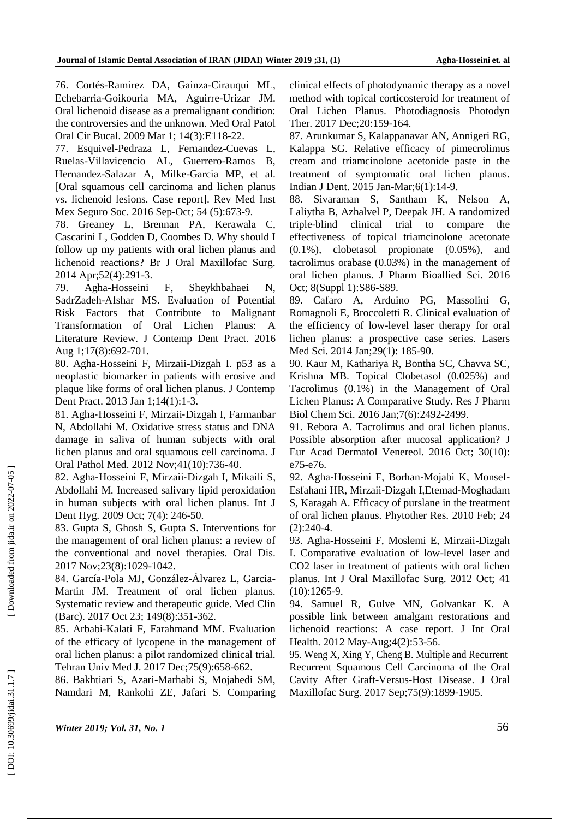76. Cortés -Ramirez DA, Gainza -Cirauqui ML, Echebarria -Goikouria MA, Aguirre -Urizar JM. Oral lichenoid disease as a premalignant condition: the controversies and the unknown. Med Oral Patol Oral Cir Bucal. 2009 Mar 1; 14(3):E118-22.

77. Esquivel -Pedraza L, Fernandez -Cuevas L, Ruelas -Villavicencio AL, Guerrero -Ramos B, Hernandez -Salazar A, Milke -Garcia MP, et al. [Oral squamous cell carcinoma and lichen planus vs. lichenoid lesions. Case report]. Rev Med Inst Mex Seguro Soc. 2016 Sep -Oct; 54 (5):673 -9.

78. Greaney L, Brennan PA, Kerawala C, Cascarini L, Godden D, Coombes D. Why should I follow up my patients with oral lichen planus and lichenoid reactions? Br J Oral Maxillofac Surg. 2014 Apr;52(4):291 -3.

79. Agha F, Sheykhbahaei N, SadrZadeh -Afshar M S. Evaluation of Potential Risk Factors that Contribute to Malignant Transformation of Oral Lichen Planus: A Literature Review. J Contemp Dent Pract. 2016 Aug 1;17(8):692 -701.

80. Agha -Hosseini F, Mirzaii -Dizgah I. p53 as a neoplastic biomarker in patients with erosive and plaque like forms of oral lichen planus. J Contemp Dent Pract. 2013 Jan 1;14(1):1-3.

81. Agha ‐Hosseini F, Mirzaii ‐Dizgah I, Farmanbar N, Abdollahi M. Oxidative stress status and DNA damage in saliva of human subjects with oral lichen planus and oral squamous cell carcinoma. J Oral Pathol Med. 2012 Nov;41(10):736 -40.

82. Agha ‐Hosseini F, Mirzaii ‐ Dizgah I, Mikaili S, Abdollahi M. Increased salivary lipid peroxidation in human subjects with oral lichen planus. Int J Dent Hyg. 2009 Oct; 7(4): 246-50.

83. Gupta S, Ghosh S, Gupta S. Interventions for the management of oral lichen planus: a review of the conventional and novel therapies. Oral Dis. 2017 Nov;23(8):1029 -1042 .

84. García -Pola MJ, González -Álvarez L, Garcia - Martin JM. Treatment of oral lichen planus. Systematic review and therapeutic guide. Med Clin (Barc). 2017 Oct 23; 149(8):351 -362.

85. Arbabi -Kalati F, Farahmand MM. Evaluation of the efficacy of lycopene in the management of oral lichen planus: a pilot randomized clinical trial. Tehran Univ Med J. 2017 Dec;75(9):658 - 662.

86. Bakhtiari S, Azari -Marhabi S, Mojahedi SM, Namdari M, Rankohi ZE, Jafari S. Comparing

clinical effects of photodynamic therapy as a novel method with topical corticosteroid for treatment of Oral Lichen Planus. Photodiagnosis Photodyn Ther. 2017 Dec;20:159 -164.

87. Arunkumar S, Kalappanavar AN, Annigeri RG, Kalappa SG. Relative efficacy of pimecrolimus cream and triamcinolone acetonide paste in the treatment of symptomatic oral lichen planus. Indian J Dent. 2015 Jan -Mar;6(1):14 -9.

88. Sivaraman S, Santham K, Nelson A, Laliytha B, Azhalvel P, Deepak JH. A randomized triple -blind clinical trial to compare the effectiveness of topical triamcinolone acetonate (0.1%), clobetasol propionate (0.05%), and tacrolimus orabase (0.03%) in the management of oral lichen planus. J Pharm Bioallied Sci. 2016 Oct; 8(Suppl 1):S86-S89.

89. Cafaro A, Arduino PG, Massolini G, Romagnoli E, Broccoletti R. Clinical evaluation of the efficiency of low -level laser therapy for oral lichen planus: a prospective case series. Lasers Med Sci. 2014 Jan;29(1): 185 -90.

90. Kaur M, Kathariya R, Bontha SC, Chavva SC, Krishna MB. Topical Clobetasol (0.025%) and Tacrolimus (0.1%) in the Management of Oral Lichen Planus: A Comparative Study. Res J Pharm Biol Chem Sci. 2016 Jan;7(6):2492 -2499.

91. Rebora A. Tacrolimus and oral lichen planus. Possible absorption after mucosal application? J Eur Acad Dermatol Venereol. 2016 Oct; 30(10): e75 -e76.

92. Agha ‐Hosseini F, Borhan ‐Mojabi K, Monsef ‐ Esfahani HR, Mirzaii ‐Dizgah I,Etemad ‐Moghadam S, Karagah A. Efficacy of purslane in the treatment of oral lichen planus. Phytother Res. 2010 Feb; 24  $(2):240-4.$ 

93. Agha -Hosseini F, Moslemi E, Mirzaii -Dizgah I. Comparative evaluation of low -level laser and CO2 laser in treatment of patients with oral lichen planus. Int J Oral Maxillofac Surg. 2012 Oct; 41  $(10):1265-9.$ 

94. Samuel R, Gulve MN, Golvankar K. A possible link between amalgam restorations and lichenoid reactions: A case report. J Int Oral Health. 2012 May -Aug;4(2):53 -56.

95. Weng X, Xing Y, Cheng B. Multiple and Recurrent Recurrent Squamous Cell Carcinoma of the Oral Cavity After Graft -Versus -Host Disease. J Oral Maxillofac Surg. 2017 Sep;75(9):1899 - 1905.

*Winter 2019; Vol. 31, No. 1* 56

Downloaded from jida.ir on 2022-07-05 ]